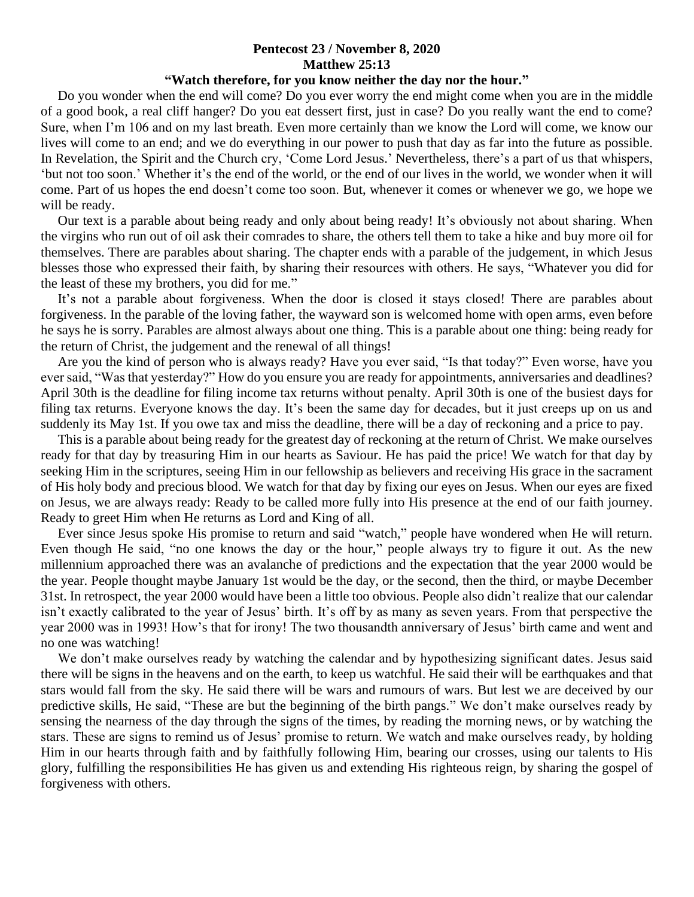## **Pentecost 23 / November 8, 2020 Matthew 25:13**

## **"Watch therefore, for you know neither the day nor the hour."**

 Do you wonder when the end will come? Do you ever worry the end might come when you are in the middle of a good book, a real cliff hanger? Do you eat dessert first, just in case? Do you really want the end to come? Sure, when I'm 106 and on my last breath. Even more certainly than we know the Lord will come, we know our lives will come to an end; and we do everything in our power to push that day as far into the future as possible. In Revelation, the Spirit and the Church cry, 'Come Lord Jesus.' Nevertheless, there's a part of us that whispers, 'but not too soon.' Whether it's the end of the world, or the end of our lives in the world, we wonder when it will come. Part of us hopes the end doesn't come too soon. But, whenever it comes or whenever we go, we hope we will be ready.

 Our text is a parable about being ready and only about being ready! It's obviously not about sharing. When the virgins who run out of oil ask their comrades to share, the others tell them to take a hike and buy more oil for themselves. There are parables about sharing. The chapter ends with a parable of the judgement, in which Jesus blesses those who expressed their faith, by sharing their resources with others. He says, "Whatever you did for the least of these my brothers, you did for me."

 It's not a parable about forgiveness. When the door is closed it stays closed! There are parables about forgiveness. In the parable of the loving father, the wayward son is welcomed home with open arms, even before he says he is sorry. Parables are almost always about one thing. This is a parable about one thing: being ready for the return of Christ, the judgement and the renewal of all things!

 Are you the kind of person who is always ready? Have you ever said, "Is that today?" Even worse, have you ever said, "Was that yesterday?" How do you ensure you are ready for appointments, anniversaries and deadlines? April 30th is the deadline for filing income tax returns without penalty. April 30th is one of the busiest days for filing tax returns. Everyone knows the day. It's been the same day for decades, but it just creeps up on us and suddenly its May 1st. If you owe tax and miss the deadline, there will be a day of reckoning and a price to pay.

 This is a parable about being ready for the greatest day of reckoning at the return of Christ. We make ourselves ready for that day by treasuring Him in our hearts as Saviour. He has paid the price! We watch for that day by seeking Him in the scriptures, seeing Him in our fellowship as believers and receiving His grace in the sacrament of His holy body and precious blood. We watch for that day by fixing our eyes on Jesus. When our eyes are fixed on Jesus, we are always ready: Ready to be called more fully into His presence at the end of our faith journey. Ready to greet Him when He returns as Lord and King of all.

 Ever since Jesus spoke His promise to return and said "watch," people have wondered when He will return. Even though He said, "no one knows the day or the hour," people always try to figure it out. As the new millennium approached there was an avalanche of predictions and the expectation that the year 2000 would be the year. People thought maybe January 1st would be the day, or the second, then the third, or maybe December 31st. In retrospect, the year 2000 would have been a little too obvious. People also didn't realize that our calendar isn't exactly calibrated to the year of Jesus' birth. It's off by as many as seven years. From that perspective the year 2000 was in 1993! How's that for irony! The two thousandth anniversary of Jesus' birth came and went and no one was watching!

We don't make ourselves ready by watching the calendar and by hypothesizing significant dates. Jesus said there will be signs in the heavens and on the earth, to keep us watchful. He said their will be earthquakes and that stars would fall from the sky. He said there will be wars and rumours of wars. But lest we are deceived by our predictive skills, He said, "These are but the beginning of the birth pangs." We don't make ourselves ready by sensing the nearness of the day through the signs of the times, by reading the morning news, or by watching the stars. These are signs to remind us of Jesus' promise to return. We watch and make ourselves ready, by holding Him in our hearts through faith and by faithfully following Him, bearing our crosses, using our talents to His glory, fulfilling the responsibilities He has given us and extending His righteous reign, by sharing the gospel of forgiveness with others.